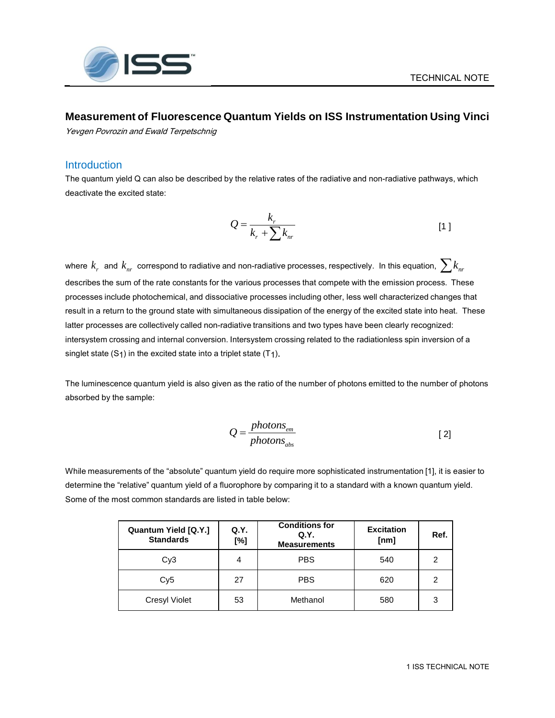

## **Measurement of Fluorescence Quantum Yields on ISS Instrumentation Using Vinci**

Yevgen Povrozin and Ewald Terpetschnig

#### **Introduction**

The quantum yield Q can also be described by the relative rates of the radiative and non-radiative pathways, which deactivate the excited state:

$$
Q = \frac{k_r}{k_r + \sum k_{nr}} \tag{1}
$$

where  $k_r$  and  $k_{nr}$  correspond to radiative and non-radiative processes, respectively. In this equation,  $\sum k_{nr}$ describes the sum of the rate constants for the various processes that compete with the emission process. These processes include photochemical, and dissociative processes including other, less well characterized changes that result in a return to the ground state with simultaneous dissipation of the energy of the excited state into heat. These latter processes are collectively called non-radiative transitions and two types have been clearly recognized: intersystem crossing and internal conversion. Intersystem crossing related to the radiationless spin inversion of a singlet state  $(S_1)$  in the excited state into a triplet state  $(T_1)$ .

The luminescence quantum yield is also given as the ratio of the number of photons emitted to the number of photons absorbed by the sample:

$$
Q = \frac{photons_{em}}{photons_{abs}}
$$
 [2]

While measurements of the "absolute" quantum yield do require more sophisticated instrumentation [1], it is easier to determine the "relative" quantum yield of a fluorophore by comparing it to a standard with a known quantum yield. Some of the most common standards are listed in table below:

| Quantum Yield [Q.Y.]<br><b>Standards</b> | Q.Y.<br>[%] | <b>Conditions for</b><br>Q.Y.<br><b>Measurements</b> | <b>Excitation</b><br>[nm] | Ref. |
|------------------------------------------|-------------|------------------------------------------------------|---------------------------|------|
| Cy <sub>3</sub>                          | 4           | <b>PBS</b>                                           | 540                       | 2    |
| Cy5                                      | 27          | <b>PBS</b>                                           | 620                       | 2    |
| <b>Cresyl Violet</b>                     | 53          | Methanol                                             | 580                       | 3    |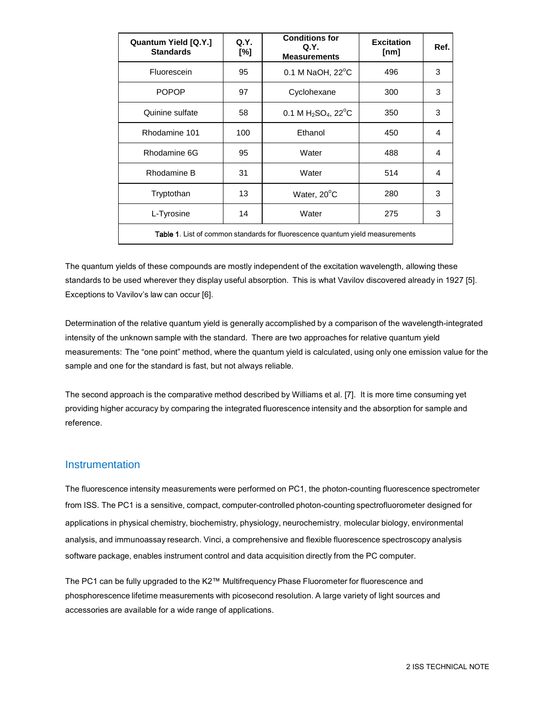| Quantum Yield [Q.Y.]<br><b>Standards</b>                                             | Q.Y.<br>[%] | <b>Conditions for</b><br>Q.Y.<br><b>Measurements</b> | <b>Excitation</b><br>[nm] | Ref. |
|--------------------------------------------------------------------------------------|-------------|------------------------------------------------------|---------------------------|------|
| Fluorescein                                                                          | 95          | 0.1 M NaOH, $22^{\circ}$ C                           | 496                       | 3    |
| <b>POPOP</b>                                                                         | 97          | Cyclohexane                                          | 300                       | 3    |
| Quinine sulfate                                                                      | 58          | 0.1 M $H_2SO_4$ , 22 $^{\circ}$ C                    | 350                       | 3    |
| Rhodamine 101                                                                        | 100         | Ethanol                                              | 450                       | 4    |
| Rhodamine 6G                                                                         | 95          | Water                                                | 488                       | 4    |
| Rhodamine B                                                                          | 31          | Water                                                | 514                       | 4    |
| Tryptothan                                                                           | 13          | Water, 20°C                                          | 280                       | 3    |
| L-Tyrosine                                                                           | 14          | Water                                                | 275                       | 3    |
| <b>Table 1.</b> List of common standards for fluorescence quantum yield measurements |             |                                                      |                           |      |

The quantum yields of these compounds are mostly independent of the excitation wavelength, allowing these standards to be used wherever they display useful absorption. This is what Vavilov discovered already in 1927 [5]. Exceptions to Vavilov's law can occur [6].

Determination of the relative quantum yield is generally accomplished by a comparison of the wavelength-integrated intensity of the unknown sample with the standard. There are two approaches for relative quantum yield measurements: The "one point" method, where the quantum yield is calculated, using only one emission value for the sample and one for the standard is fast, but not always reliable.

The second approach is the comparative method described by Williams et al. [7]. It is more time consuming yet providing higher accuracy by comparing the integrated fluorescence intensity and the absorption for sample and reference.

### Instrumentation

The fluorescence intensity measurements were performed on PC1, the photon-counting fluorescence spectrometer from ISS. The PC1 is a sensitive, compact, computer-controlled photon-counting spectrofluorometer designed for applications in physical chemistry, biochemistry, physiology, neurochemistry, molecular biology, environmental analysis, and immunoassay research. Vinci, a comprehensive and flexible fluorescence spectroscopy analysis software package, enables instrument control and data acquisition directly from the PC computer.

The PC1 can be fully upgraded to the K2™ Multifrequency Phase Fluorometer for fluorescence and phosphorescence lifetime measurements with picosecond resolution. A large variety of light sources and accessories are available for a wide range of applications.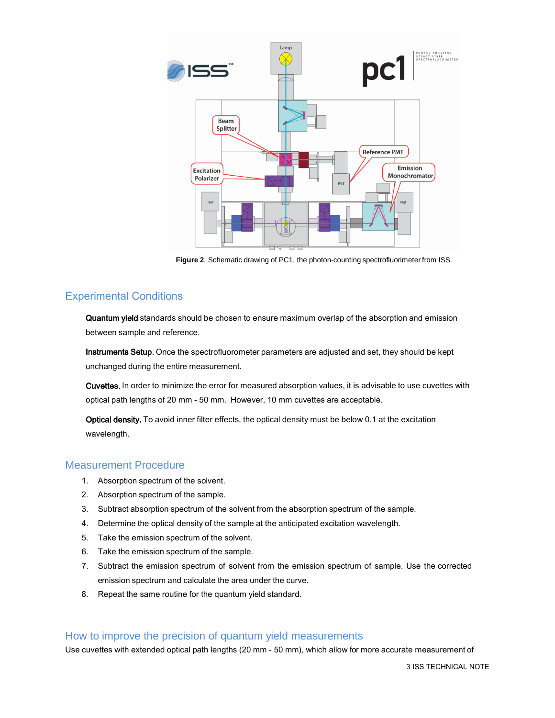

**Figure 2**. Schematic drawing of PC1, the photon-counting spectrofluorimeter from ISS.

## Experimental Conditions

Quantum yield standards should be chosen to ensure maximum overlap of the absorption and emission between sample and reference.

Instruments Setup. Once the spectrofluorometer parameters are adjusted and set, they should be kept unchanged during the entire measurement.

Cuvettes. In order to minimize the error for measured absorption values, it is advisable to use cuvettes with optical path lengths of 20 mm - 50 mm. However, 10 mm cuvettes are acceptable.

Optical density. To avoid inner filter effects, the optical density must be below 0.1 at the excitation wavelength.

### Measurement Procedure

- 1. Absorption spectrum of the solvent.
- 2. Absorption spectrum of the sample.
- 3. Subtract absorption spectrum of the solvent from the absorption spectrum of the sample.
- 4. Determine the optical density of the sample at the anticipated excitation wavelength.
- 5. Take the emission spectrum of the solvent.
- 6. Take the emission spectrum of the sample.
- 7. Subtract the emission spectrum of solvent from the emission spectrum of sample. Use the corrected emission spectrum and calculate the area under the curve.
- 8. Repeat the same routine for the quantum yield standard.

#### How to improve the precision of quantum yield measurements

Use cuvettes with extended optical path lengths (20 mm - 50 mm), which allow for more accurate measurement of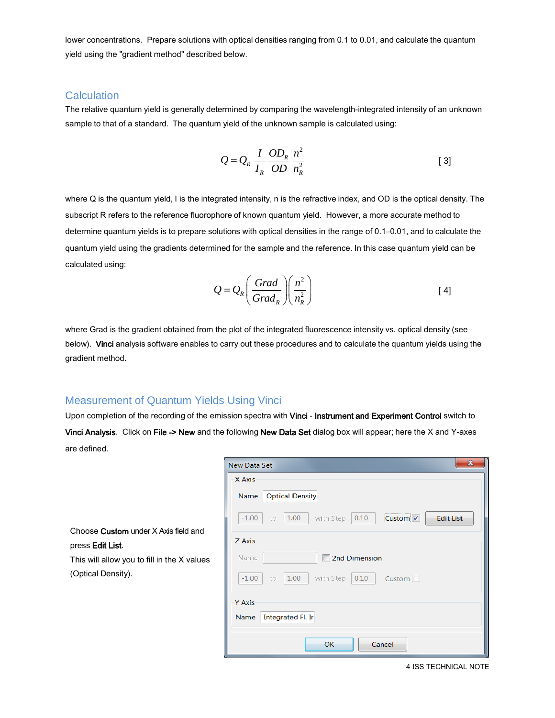lower concentrations. Prepare solutions with optical densities ranging from 0.1 to 0.01, and calculate the quantum yield using the "gradient method" described below.

#### **Calculation**

The relative quantum yield is generally determined by comparing the wavelength-integrated intensity of an unknown sample to that of a standard. The quantum yield of the unknown sample is calculated using:

$$
Q = Q_R \frac{I}{I_R} \frac{OD_R}{OD} \frac{n^2}{n_R^2}
$$
 [3]

where Q is the quantum yield, I is the integrated intensity, n is the refractive index, and OD is the optical density. The subscript R refers to the reference fluorophore of known quantum yield. However, a more accurate method to determine quantum yields is to prepare solutions with optical densities in the range of 0.1–0.01, and to calculate the quantum yield using the gradients determined for the sample and the reference. In this case quantum yield can be calculated using:

$$
Q = Q_R \left( \frac{Grad}{Grad_R} \right) \left( \frac{n^2}{n_R^2} \right)
$$
 [4]

where Grad is the gradient obtained from the plot of the integrated fluorescence intensity vs. optical density (see below). Vinci analysis software enables to carry out these procedures and to calculate the quantum yields using the gradient method.

## Measurement of Quantum Yields Using Vinci

Upon completion of the recording of the emission spectra with Vinci - Instrument and Experiment Control switch to Vinci Analysis. Click on File -> New and the following New Data Set dialog box will appear; here the X and Y-axes are defined.

|          | x<br>New Data Set                                                                     |  |  |  |  |  |
|----------|---------------------------------------------------------------------------------------|--|--|--|--|--|
|          | X Axis                                                                                |  |  |  |  |  |
|          | <b>Optical Density</b><br>Name                                                        |  |  |  |  |  |
|          | $-1.00$<br>1.00<br>0.10<br>with Step<br><b>Edit List</b><br>Custom <sup>V</sup><br>to |  |  |  |  |  |
| eld and  | Z Axis                                                                                |  |  |  |  |  |
| < values | Name<br>2nd Dimension                                                                 |  |  |  |  |  |
|          | 1.00<br>with Step<br>$-1.00$<br>0.10<br>to<br>Custom <sup>1</sup>                     |  |  |  |  |  |
|          | Y Axis                                                                                |  |  |  |  |  |
|          | Integrated Fl. Ir<br>Name                                                             |  |  |  |  |  |
|          | OK<br>Cancel                                                                          |  |  |  |  |  |

Choose Custom under X Axis field press Edit List.

This will allow you to fill in the  $\lambda$ (Optical Density).

4 ISS TECHNICAL NOTE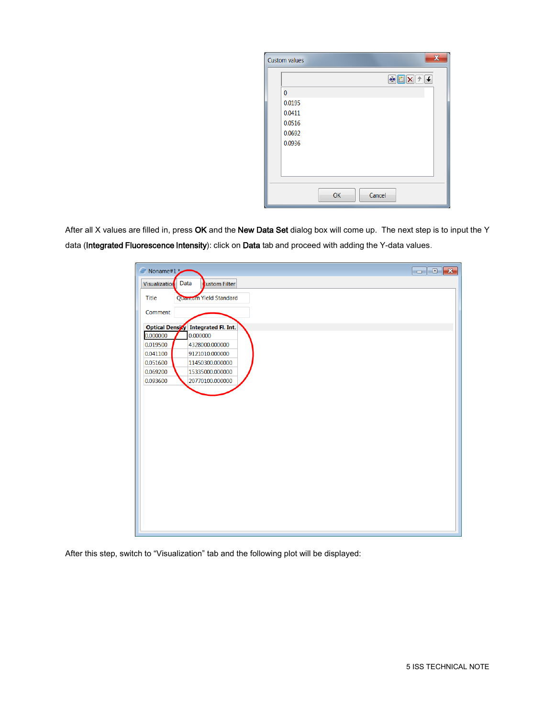| <b>Custom values</b> |    |        |                                                                                                                                                                                                                                                                                                                                                     | $\overline{\mathbf{x}}$ |
|----------------------|----|--------|-----------------------------------------------------------------------------------------------------------------------------------------------------------------------------------------------------------------------------------------------------------------------------------------------------------------------------------------------------|-------------------------|
|                      |    |        | $\begin{picture}(130,10) \put(0,0){\line(1,0){10}} \put(15,0){\line(1,0){10}} \put(15,0){\line(1,0){10}} \put(15,0){\line(1,0){10}} \put(15,0){\line(1,0){10}} \put(15,0){\line(1,0){10}} \put(15,0){\line(1,0){10}} \put(15,0){\line(1,0){10}} \put(15,0){\line(1,0){10}} \put(15,0){\line(1,0){10}} \put(15,0){\line(1,0){10}} \put(15,0){\line($ |                         |
| $\bf{0}$             |    |        |                                                                                                                                                                                                                                                                                                                                                     |                         |
| 0.0195               |    |        |                                                                                                                                                                                                                                                                                                                                                     |                         |
| 0.0411               |    |        |                                                                                                                                                                                                                                                                                                                                                     |                         |
| 0.0516               |    |        |                                                                                                                                                                                                                                                                                                                                                     |                         |
| 0.0692               |    |        |                                                                                                                                                                                                                                                                                                                                                     |                         |
| 0.0936               |    |        |                                                                                                                                                                                                                                                                                                                                                     |                         |
|                      |    |        |                                                                                                                                                                                                                                                                                                                                                     |                         |
|                      |    |        |                                                                                                                                                                                                                                                                                                                                                     |                         |
|                      |    |        |                                                                                                                                                                                                                                                                                                                                                     |                         |
|                      | OK | Cancel |                                                                                                                                                                                                                                                                                                                                                     |                         |

After all X values are filled in, press OK and the New Data Set dialog box will come up. The next step is to input the Y data (Integrated Fluorescence Intensity): click on Data tab and proceed with adding the Y-data values.

| G)<br>Noname#1*      |                                     | $\begin{array}{c c c c c c} \hline \multicolumn{3}{c }{-} & \multicolumn{3}{c }{-} & \multicolumn{3}{c }{-} \multicolumn{3}{c }{-} \multicolumn{3}{c }{-} & \multicolumn{3}{c }{-} \multicolumn{3}{c }{-} \multicolumn{3}{c }{-} \multicolumn{3}{c }{-} & \multicolumn{3}{c }{-} \multicolumn{3}{c }{-} & \multicolumn{3}{c }{-} & \multicolumn{3}{c }{-} \multicolumn{3}{c }{-} & \multicolumn{3}{c }{-} & \multicolumn{3}{c }{-}$ |
|----------------------|-------------------------------------|-------------------------------------------------------------------------------------------------------------------------------------------------------------------------------------------------------------------------------------------------------------------------------------------------------------------------------------------------------------------------------------------------------------------------------------|
| <b>Visualization</b> | Data<br><b>Lustom Filter</b>        |                                                                                                                                                                                                                                                                                                                                                                                                                                     |
| <b>Title</b>         | Quantum Yield Standard              |                                                                                                                                                                                                                                                                                                                                                                                                                                     |
| Comment              |                                     |                                                                                                                                                                                                                                                                                                                                                                                                                                     |
|                      | Optical Density Integrated Fl. Int. |                                                                                                                                                                                                                                                                                                                                                                                                                                     |
| 0.000000             | 0.000000                            |                                                                                                                                                                                                                                                                                                                                                                                                                                     |
| 0.019500             | 4328000.000000                      |                                                                                                                                                                                                                                                                                                                                                                                                                                     |
| 0.041100             | 9121010.000000                      |                                                                                                                                                                                                                                                                                                                                                                                                                                     |
| 0.051600             | 11450300.000000                     |                                                                                                                                                                                                                                                                                                                                                                                                                                     |
| 0.069200             | 15335000.000000                     |                                                                                                                                                                                                                                                                                                                                                                                                                                     |
| 0.093600             | 20770100.000000                     |                                                                                                                                                                                                                                                                                                                                                                                                                                     |
|                      |                                     |                                                                                                                                                                                                                                                                                                                                                                                                                                     |

After this step, switch to "Visualization" tab and the following plot will be displayed: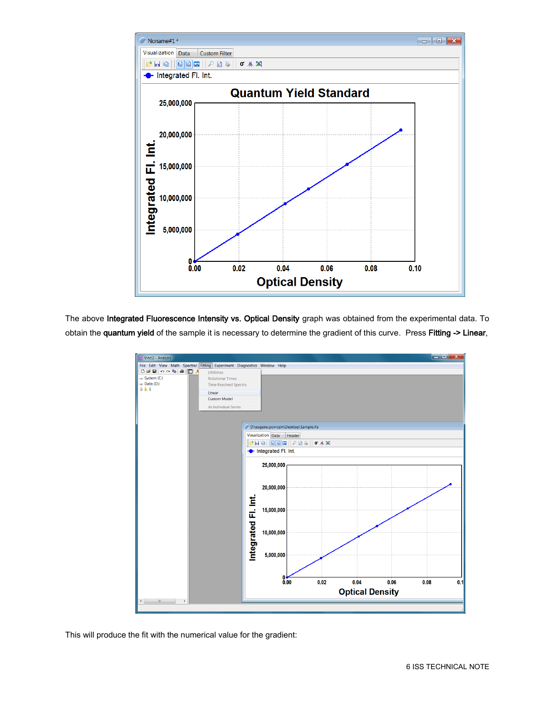

The above Integrated Fluorescence Intensity vs. Optical Density graph was obtained from the experimental data. To obtain the quantum yield of the sample it is necessary to determine the gradient of this curve. Press Fitting -> Linear,



This will produce the fit with the numerical value for the gradient: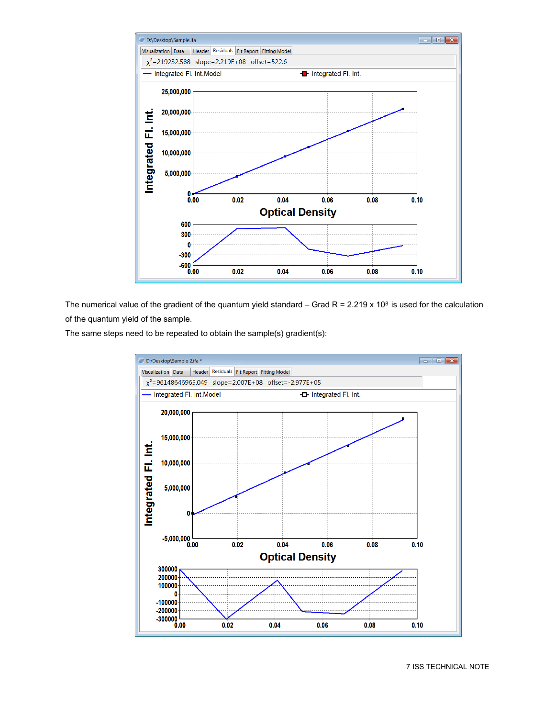

The numerical value of the gradient of the quantum yield standard – Grad R = 2.219 x 10<sup>8</sup> is used for the calculation of the quantum yield of the sample.

The same steps need to be repeated to obtain the sample(s) gradient(s):